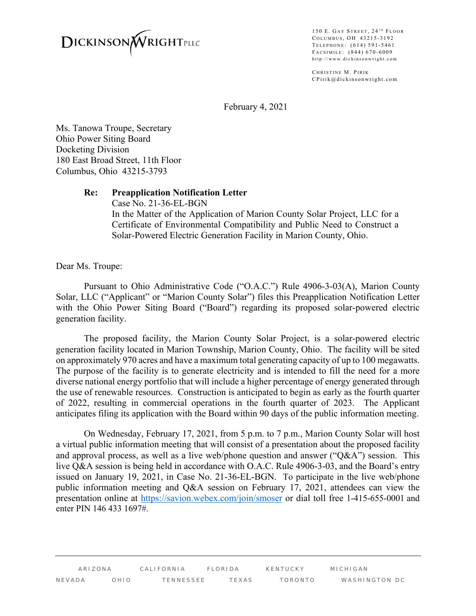

150 E. GAY STREET, 24<sup>TH</sup> FLOOR COLUMBUS, OH 43215-3192 TELEPHONE: (614) 591-5461 FACSIMILE: (844) 670-6009 http://www.dickinsonwright.com

CHRISTINE M. PIRIK CPirik@dickinsonwright.com

February 4, 2021

Ms. Tanowa Troupe, Secretary Ohio Power Siting Board Docketing Division 180 East Broad Street, 11th Floor Columbus, Ohio 43215-3793

## **Re: Preapplication Notification Letter**

Case No. 21-36-EL-BGN In the Matter of the Application of Marion County Solar Project, LLC for a Certificate of Environmental Compatibility and Public Need to Construct a Solar-Powered Electric Generation Facility in Marion County, Ohio.

Dear Ms. Troupe:

 Pursuant to Ohio Administrative Code ("O.A.C.") Rule 4906-3-03(A), Marion County Solar, LLC ("Applicant" or "Marion County Solar") files this Preapplication Notification Letter with the Ohio Power Siting Board ("Board") regarding its proposed solar-powered electric generation facility.

 The proposed facility, the Marion County Solar Project, is a solar-powered electric generation facility located in Marion Township, Marion County, Ohio. The facility will be sited on approximately 970 acres and have a maximum total generating capacity of up to 100 megawatts. The purpose of the facility is to generate electricity and is intended to fill the need for a more diverse national energy portfolio that will include a higher percentage of energy generated through the use of renewable resources. Construction is anticipated to begin as early as the fourth quarter of 2022, resulting in commercial operations in the fourth quarter of 2023. The Applicant anticipates filing its application with the Board within 90 days of the public information meeting.

 On Wednesday, February 17, 2021, from 5 p.m. to 7 p.m., Marion County Solar will host a virtual public information meeting that will consist of a presentation about the proposed facility and approval process, as well as a live web/phone question and answer ("Q&A") session. This live Q&A session is being held in accordance with O.A.C. Rule 4906-3-03, and the Board's entry issued on January 19, 2021, in Case No. 21-36-EL-BGN. To participate in the live web/phone public information meeting and Q&A session on February 17, 2021, attendees can view the presentation online at https://savion.webex.com/join/smoser or dial toll free 1-415-655-0001 and enter PIN 146 433 1697#.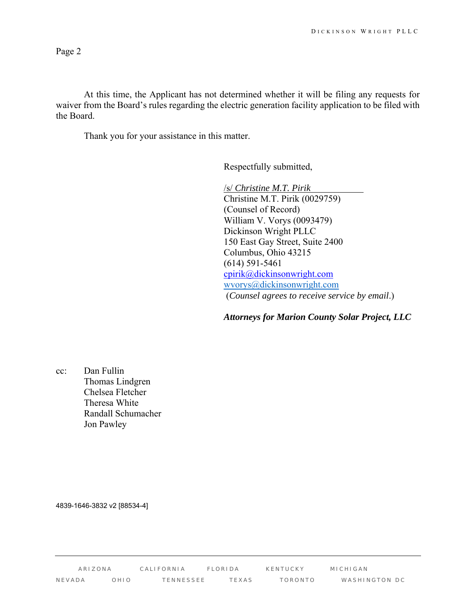Page 2

At this time, the Applicant has not determined whether it will be filing any requests for waiver from the Board's rules regarding the electric generation facility application to be filed with the Board.

Thank you for your assistance in this matter.

Respectfully submitted,

/s/ *Christine M.T. Pirik*  Christine M.T. Pirik (0029759) (Counsel of Record) William V. Vorys (0093479) Dickinson Wright PLLC 150 East Gay Street, Suite 2400 Columbus, Ohio 43215 (614) 591-5461 cpirik@dickinsonwright.com wvorys@dickinsonwright.com (*Counsel agrees to receive service by email*.)

*Attorneys for Marion County Solar Project, LLC*

cc: Dan Fullin Thomas Lindgren Chelsea Fletcher Theresa White Randall Schumacher Jon Pawley

4839-1646-3832 v2 [88534-4]